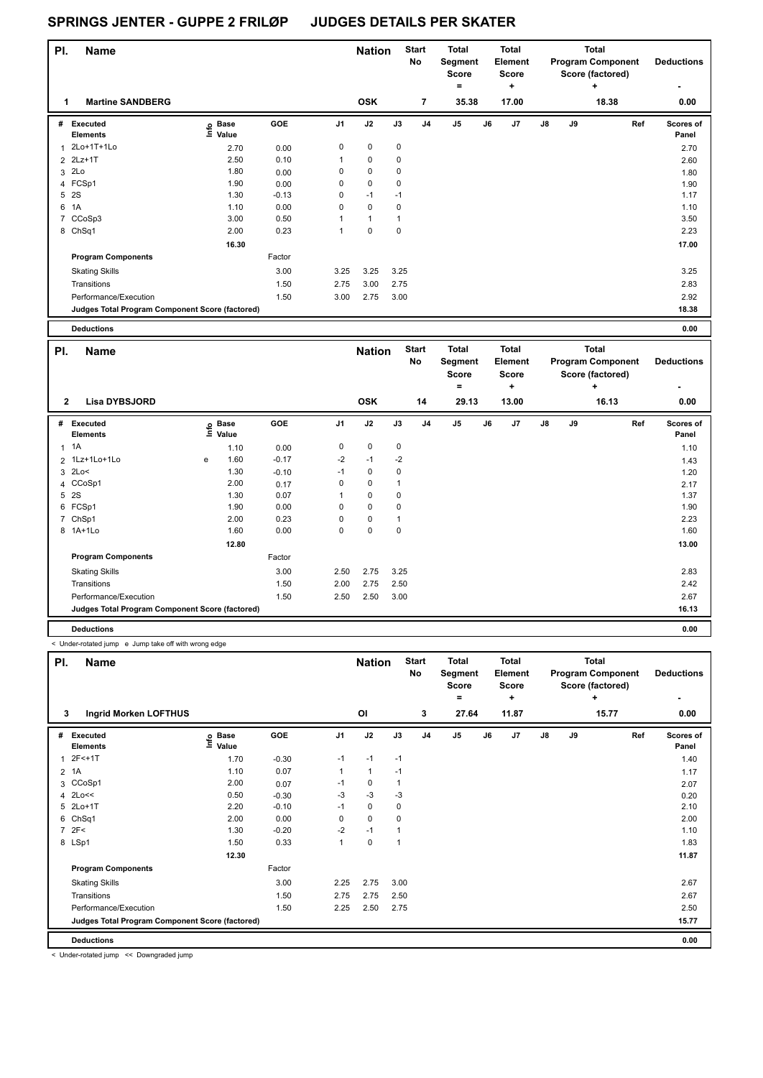| PI. | <b>Name</b>                                     |                            |            |                | <b>Nation</b> |             | <b>Start</b><br>No | <b>Total</b><br>Segment<br><b>Score</b> |    | <b>Total</b><br>Element<br><b>Score</b> |               |    | <b>Total</b><br><b>Program Component</b><br>Score (factored) | <b>Deductions</b>                |
|-----|-------------------------------------------------|----------------------------|------------|----------------|---------------|-------------|--------------------|-----------------------------------------|----|-----------------------------------------|---------------|----|--------------------------------------------------------------|----------------------------------|
|     |                                                 |                            |            |                |               |             |                    | $\equiv$                                |    | ٠                                       |               |    | ÷                                                            | $\overline{\phantom{0}}$         |
| 1   | <b>Martine SANDBERG</b>                         |                            |            |                | <b>OSK</b>    |             | $\overline{7}$     | 35.38                                   |    | 17.00                                   |               |    | 18.38                                                        | 0.00                             |
| #   | Executed<br><b>Elements</b>                     | e Base<br>E Value<br>Value | <b>GOE</b> | J <sub>1</sub> | J2            | J3          | J4                 | J <sub>5</sub>                          | J6 | J7                                      | $\mathsf{J}8$ | J9 |                                                              | Ref<br><b>Scores of</b><br>Panel |
| 1   | 2Lo+1T+1Lo                                      | 2.70                       | 0.00       | 0              | $\mathbf 0$   | 0           |                    |                                         |    |                                         |               |    |                                                              | 2.70                             |
|     | 2 2Lz+1T                                        | 2.50                       | 0.10       | 1              | $\mathbf 0$   | 0           |                    |                                         |    |                                         |               |    |                                                              | 2.60                             |
|     | 3 2Lo                                           | 1.80                       | 0.00       | 0              | $\mathbf 0$   | 0           |                    |                                         |    |                                         |               |    |                                                              | 1.80                             |
|     | 4 FCSp1                                         | 1.90                       | 0.00       | 0              | 0             | 0           |                    |                                         |    |                                         |               |    |                                                              | 1.90                             |
|     | 5 2S                                            | 1.30                       | $-0.13$    | 0              | $-1$          | $-1$        |                    |                                         |    |                                         |               |    |                                                              | 1.17                             |
| 6   | 1A                                              | 1.10                       | 0.00       | 0              | $\mathbf 0$   | $\mathbf 0$ |                    |                                         |    |                                         |               |    |                                                              | 1.10                             |
| 7   | CCoSp3                                          | 3.00                       | 0.50       |                | $\mathbf{1}$  | 1           |                    |                                         |    |                                         |               |    |                                                              | 3.50                             |
|     | 8 ChSq1                                         | 2.00                       | 0.23       | 1              | $\mathbf 0$   | $\mathbf 0$ |                    |                                         |    |                                         |               |    |                                                              | 2.23                             |
|     |                                                 | 16.30                      |            |                |               |             |                    |                                         |    |                                         |               |    |                                                              | 17.00                            |
|     | <b>Program Components</b>                       |                            | Factor     |                |               |             |                    |                                         |    |                                         |               |    |                                                              |                                  |
|     | <b>Skating Skills</b>                           |                            | 3.00       | 3.25           | 3.25          | 3.25        |                    |                                         |    |                                         |               |    |                                                              | 3.25                             |
|     | Transitions                                     |                            | 1.50       | 2.75           | 3.00          | 2.75        |                    |                                         |    |                                         |               |    |                                                              | 2.83                             |
|     | Performance/Execution                           |                            | 1.50       | 3.00           | 2.75          | 3.00        |                    |                                         |    |                                         |               |    |                                                              | 2.92                             |
|     | Judges Total Program Component Score (factored) |                            |            |                |               |             |                    |                                         |    |                                         |               |    |                                                              | 18.38                            |
|     |                                                 |                            |            |                |               |             |                    |                                         |    |                                         |               |    |                                                              |                                  |

| <b>Deductions</b> | J.OO |
|-------------------|------|
| .                 | .    |
|                   |      |

| PI.            | <b>Name</b>                                     |   |                            |         |                | <b>Nation</b> |                | <b>Start</b><br>No | <b>Total</b><br>Segment<br>Score |    | <b>Total</b><br>Element<br><b>Score</b> |               |    | <b>Total</b><br><b>Program Component</b><br>Score (factored) | <b>Deductions</b>         |
|----------------|-------------------------------------------------|---|----------------------------|---------|----------------|---------------|----------------|--------------------|----------------------------------|----|-----------------------------------------|---------------|----|--------------------------------------------------------------|---------------------------|
|                |                                                 |   |                            |         |                |               |                |                    | $=$                              |    | ÷                                       |               |    | ÷                                                            | ۰                         |
| $\overline{2}$ | <b>Lisa DYBSJORD</b>                            |   |                            |         |                | <b>OSK</b>    |                | 14                 | 29.13                            |    | 13.00                                   |               |    | 16.13                                                        | 0.00                      |
|                | # Executed<br><b>Elements</b>                   |   | e Base<br>E Value<br>Value | GOE     | J <sub>1</sub> | J2            | J3             | J <sub>4</sub>     | J <sub>5</sub>                   | J6 | J7                                      | $\mathsf{J}8$ | J9 | Ref                                                          | <b>Scores of</b><br>Panel |
|                | $1 \t1A$                                        |   | 1.10                       | 0.00    | 0              | 0             | 0              |                    |                                  |    |                                         |               |    |                                                              | 1.10                      |
|                | 2 1Lz+1Lo+1Lo                                   | e | 1.60                       | $-0.17$ | $-2$           | $-1$          | $-2$           |                    |                                  |    |                                         |               |    |                                                              | 1.43                      |
|                | $3$ 2Lo<                                        |   | 1.30                       | $-0.10$ | $-1$           | 0             | 0              |                    |                                  |    |                                         |               |    |                                                              | 1.20                      |
|                | 4 CCoSp1                                        |   | 2.00                       | 0.17    | 0              | 0             | $\overline{1}$ |                    |                                  |    |                                         |               |    |                                                              | 2.17                      |
|                | 5 2S                                            |   | 1.30                       | 0.07    | 1              | 0             | $\mathbf 0$    |                    |                                  |    |                                         |               |    |                                                              | 1.37                      |
|                | 6 FCSp1                                         |   | 1.90                       | 0.00    | 0              | 0             | 0              |                    |                                  |    |                                         |               |    |                                                              | 1.90                      |
|                | 7 ChSp1                                         |   | 2.00                       | 0.23    | 0              | 0             | 1              |                    |                                  |    |                                         |               |    |                                                              | 2.23                      |
|                | 8 1A+1Lo                                        |   | 1.60                       | 0.00    | 0              | 0             | 0              |                    |                                  |    |                                         |               |    |                                                              | 1.60                      |
|                |                                                 |   | 12.80                      |         |                |               |                |                    |                                  |    |                                         |               |    |                                                              | 13.00                     |
|                | <b>Program Components</b>                       |   |                            | Factor  |                |               |                |                    |                                  |    |                                         |               |    |                                                              |                           |
|                | <b>Skating Skills</b>                           |   |                            | 3.00    | 2.50           | 2.75          | 3.25           |                    |                                  |    |                                         |               |    |                                                              | 2.83                      |
|                | Transitions                                     |   |                            | 1.50    | 2.00           | 2.75          | 2.50           |                    |                                  |    |                                         |               |    |                                                              | 2.42                      |
|                | Performance/Execution                           |   |                            | 1.50    | 2.50           | 2.50          | 3.00           |                    |                                  |    |                                         |               |    |                                                              | 2.67                      |
|                | Judges Total Program Component Score (factored) |   |                            |         |                |               |                |                    |                                  |    |                                         |               |    |                                                              | 16.13                     |
|                | <b>Deductions</b>                               |   |                            |         |                |               |                |                    |                                  |    |                                         |               |    |                                                              | 0.00                      |

< Under-rotated jump e Jump take off with wrong edge

| PI. | <b>Name</b><br>3                                |                                              |         |                | <b>Nation</b> |             | <b>Start</b><br>No | <b>Total</b><br>Segment<br><b>Score</b> |    | <b>Total</b><br>Element<br><b>Score</b> |    |    | <b>Total</b><br><b>Program Component</b><br>Score (factored) | <b>Deductions</b>  |
|-----|-------------------------------------------------|----------------------------------------------|---------|----------------|---------------|-------------|--------------------|-----------------------------------------|----|-----------------------------------------|----|----|--------------------------------------------------------------|--------------------|
|     | <b>Ingrid Morken LOFTHUS</b>                    |                                              |         |                | OI            |             | 3                  | $=$<br>27.64                            |    | ÷<br>11.87                              |    |    | ÷<br>15.77                                                   | 0.00               |
|     |                                                 |                                              |         |                |               |             |                    |                                         |    |                                         |    |    |                                                              |                    |
| #   | Executed<br><b>Elements</b>                     | $\epsilon$ Base<br>$\epsilon$ Value<br>Value | GOE     | J <sub>1</sub> | J2            | J3          | J <sub>4</sub>     | J <sub>5</sub>                          | J6 | J <sub>7</sub>                          | J8 | J9 | Ref                                                          | Scores of<br>Panel |
|     | 1 2F<+1T                                        | 1.70                                         | $-0.30$ | $-1$           | $-1$          | $-1$        |                    |                                         |    |                                         |    |    |                                                              | 1.40               |
|     | 2 1A                                            | 1.10                                         | 0.07    | 1              | 1             | $-1$        |                    |                                         |    |                                         |    |    |                                                              | 1.17               |
|     | 3 CCoSp1                                        | 2.00                                         | 0.07    | $-1$           | 0             | 1           |                    |                                         |    |                                         |    |    |                                                              | 2.07               |
|     | 4 2Lo<<                                         | 0.50                                         | $-0.30$ | $-3$           | $-3$          | $-3$        |                    |                                         |    |                                         |    |    |                                                              | 0.20               |
|     | 5 2Lo+1T                                        | 2.20                                         | $-0.10$ | $-1$           | 0             | $\mathbf 0$ |                    |                                         |    |                                         |    |    |                                                              | 2.10               |
|     | 6 ChSq1                                         | 2.00                                         | 0.00    | $\Omega$       | $\Omega$      | $\Omega$    |                    |                                         |    |                                         |    |    |                                                              | 2.00               |
|     | 7.2F<                                           | 1.30                                         | $-0.20$ | $-2$           | $-1$          |             |                    |                                         |    |                                         |    |    |                                                              | 1.10               |
|     | 8 LSp1                                          | 1.50                                         | 0.33    | 1              | 0             | ٠           |                    |                                         |    |                                         |    |    |                                                              | 1.83               |
|     |                                                 | 12.30                                        |         |                |               |             |                    |                                         |    |                                         |    |    |                                                              | 11.87              |
|     | <b>Program Components</b>                       |                                              | Factor  |                |               |             |                    |                                         |    |                                         |    |    |                                                              |                    |
|     | <b>Skating Skills</b>                           |                                              | 3.00    | 2.25           | 2.75          | 3.00        |                    |                                         |    |                                         |    |    |                                                              | 2.67               |
|     | Transitions                                     |                                              | 1.50    | 2.75           | 2.75          | 2.50        |                    |                                         |    |                                         |    |    |                                                              | 2.67               |
|     | Performance/Execution                           |                                              | 1.50    | 2.25           | 2.50          | 2.75        |                    |                                         |    |                                         |    |    |                                                              | 2.50               |
|     | Judges Total Program Component Score (factored) |                                              |         |                |               |             |                    |                                         |    |                                         |    |    |                                                              | 15.77              |
|     | <b>Deductions</b>                               |                                              |         |                |               |             |                    |                                         |    |                                         |    |    |                                                              | 0.00               |

< Under-rotated jump << Downgraded jump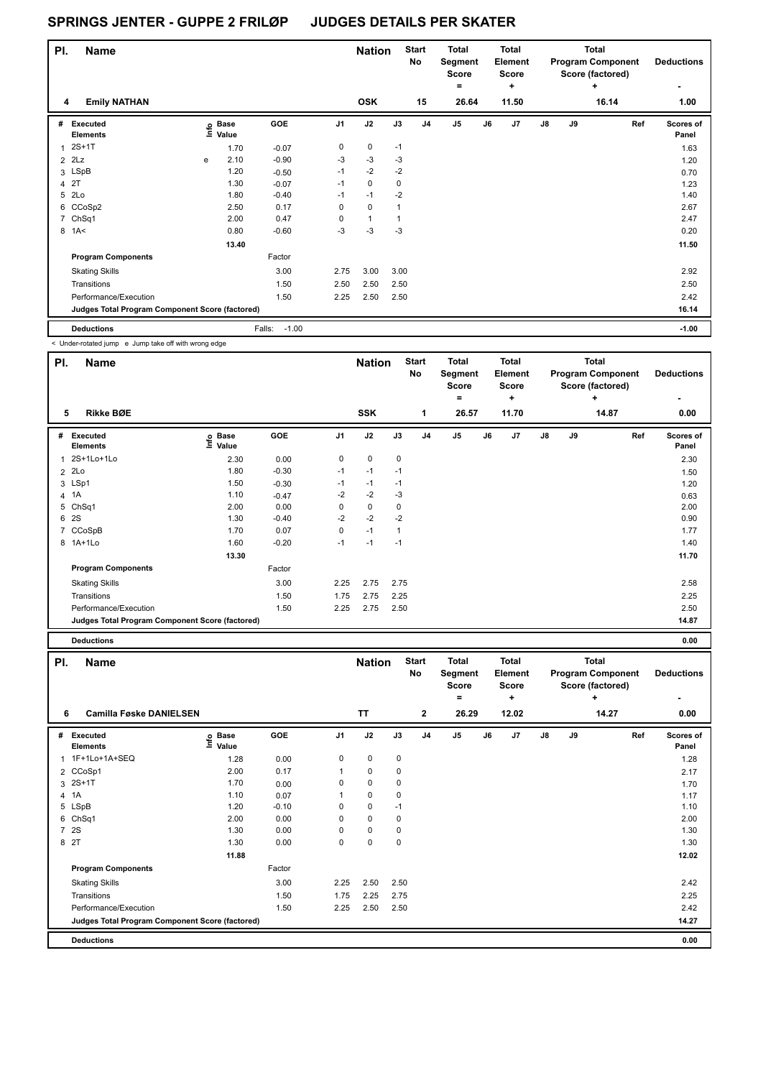| PI. | <b>Name</b>                                     |   |                            |                   |                | <b>Nation</b>  |             | <b>Start</b><br>No | <b>Total</b><br>Segment<br>Score |    | <b>Total</b><br>Element<br><b>Score</b> |               |    | <b>Total</b><br><b>Program Component</b><br>Score (factored) | <b>Deductions</b>  |
|-----|-------------------------------------------------|---|----------------------------|-------------------|----------------|----------------|-------------|--------------------|----------------------------------|----|-----------------------------------------|---------------|----|--------------------------------------------------------------|--------------------|
|     |                                                 |   |                            |                   |                |                |             |                    | ۰                                |    | ÷                                       |               |    | ÷                                                            |                    |
| 4   | <b>Emily NATHAN</b>                             |   |                            |                   |                | <b>OSK</b>     |             | 15                 | 26.64                            |    | 11.50                                   |               |    | 16.14                                                        | 1.00               |
| #   | Executed<br><b>Elements</b>                     |   | e Base<br>E Value<br>Value | GOE               | J <sub>1</sub> | J2             | J3          | J <sub>4</sub>     | J <sub>5</sub>                   | J6 | J7                                      | $\mathsf{J}8$ | J9 | Ref                                                          | Scores of<br>Panel |
|     | $2S+1T$                                         |   | 1.70                       | $-0.07$           | 0              | $\mathbf 0$    | $-1$        |                    |                                  |    |                                         |               |    |                                                              | 1.63               |
|     | $2$ $2Lz$                                       | e | 2.10                       | $-0.90$           | $-3$           | $-3$           | $-3$        |                    |                                  |    |                                         |               |    |                                                              | 1.20               |
|     | 3 LSpB                                          |   | 1.20                       | $-0.50$           | $-1$           | $-2$           | $-2$        |                    |                                  |    |                                         |               |    |                                                              | 0.70               |
|     | 4 2T                                            |   | 1.30                       | $-0.07$           | $-1$           | $\mathbf 0$    | $\mathbf 0$ |                    |                                  |    |                                         |               |    |                                                              | 1.23               |
| 5   | 2Lo                                             |   | 1.80                       | $-0.40$           | $-1$           | $-1$           | $-2$        |                    |                                  |    |                                         |               |    |                                                              | 1.40               |
|     | 6 CCoSp2                                        |   | 2.50                       | 0.17              | 0              | 0              | 1           |                    |                                  |    |                                         |               |    |                                                              | 2.67               |
|     | 7 ChSq1                                         |   | 2.00                       | 0.47              | 0              | $\overline{1}$ |             |                    |                                  |    |                                         |               |    |                                                              | 2.47               |
| 8   | 1A<                                             |   | 0.80                       | $-0.60$           | $-3$           | $-3$           | $-3$        |                    |                                  |    |                                         |               |    |                                                              | 0.20               |
|     |                                                 |   | 13.40                      |                   |                |                |             |                    |                                  |    |                                         |               |    |                                                              | 11.50              |
|     | <b>Program Components</b>                       |   |                            | Factor            |                |                |             |                    |                                  |    |                                         |               |    |                                                              |                    |
|     | <b>Skating Skills</b>                           |   |                            | 3.00              | 2.75           | 3.00           | 3.00        |                    |                                  |    |                                         |               |    |                                                              | 2.92               |
|     | Transitions                                     |   |                            | 1.50              | 2.50           | 2.50           | 2.50        |                    |                                  |    |                                         |               |    |                                                              | 2.50               |
|     | Performance/Execution                           |   |                            | 1.50              | 2.25           | 2.50           | 2.50        |                    |                                  |    |                                         |               |    |                                                              | 2.42               |
|     | Judges Total Program Component Score (factored) |   |                            |                   |                |                |             |                    |                                  |    |                                         |               |    |                                                              | 16.14              |
|     | <b>Deductions</b>                               |   |                            | $-1.00$<br>Falls: |                |                |             |                    |                                  |    |                                         |               |    |                                                              | $-1.00$            |

< Under-rotated jump e Jump take off with wrong edge

| PI.            | <b>Name</b>                                     |                                  |         |                | <b>Nation</b> |                | <b>Start</b><br>No | <b>Total</b><br>Segment<br><b>Score</b><br>۰ |    | <b>Total</b><br>Element<br><b>Score</b><br>٠ |               |    | Total<br><b>Program Component</b><br>Score (factored)<br>÷ | <b>Deductions</b><br>٠    |
|----------------|-------------------------------------------------|----------------------------------|---------|----------------|---------------|----------------|--------------------|----------------------------------------------|----|----------------------------------------------|---------------|----|------------------------------------------------------------|---------------------------|
| 5              | <b>Rikke BØE</b>                                |                                  |         |                | <b>SSK</b>    |                | 1                  | 26.57                                        |    | 11.70                                        |               |    | 14.87                                                      | 0.00                      |
| #              | Executed<br><b>Elements</b>                     | <b>Base</b><br>e Base<br>⊆ Value | GOE     | J <sub>1</sub> | J2            | J3             | J <sub>4</sub>     | J5                                           | J6 | J7                                           | $\mathsf{J}8$ | J9 | Ref                                                        | <b>Scores of</b><br>Panel |
| 1              | 2S+1Lo+1Lo                                      | 2.30                             | 0.00    | 0              | $\mathbf 0$   | $\mathbf 0$    |                    |                                              |    |                                              |               |    |                                                            | 2.30                      |
| $\overline{2}$ | 2Lo                                             | 1.80                             | $-0.30$ | $-1$           | $-1$          | $-1$           |                    |                                              |    |                                              |               |    |                                                            | 1.50                      |
|                | 3 LSp1                                          | 1.50                             | $-0.30$ | $-1$           | $-1$          | $-1$           |                    |                                              |    |                                              |               |    |                                                            | 1.20                      |
|                | 4 1A                                            | 1.10                             | $-0.47$ | $-2$           | $-2$          | $-3$           |                    |                                              |    |                                              |               |    |                                                            | 0.63                      |
|                | 5 ChSq1                                         | 2.00                             | 0.00    | 0              | $\mathbf 0$   | 0              |                    |                                              |    |                                              |               |    |                                                            | 2.00                      |
| 6              | <b>2S</b>                                       | 1.30                             | $-0.40$ | $-2$           | $-2$          | $-2$           |                    |                                              |    |                                              |               |    |                                                            | 0.90                      |
|                | 7 CCoSpB                                        | 1.70                             | 0.07    | 0              | $-1$          | $\overline{1}$ |                    |                                              |    |                                              |               |    |                                                            | 1.77                      |
|                | 8 1A+1Lo                                        | 1.60                             | $-0.20$ | $-1$           | $-1$          | $-1$           |                    |                                              |    |                                              |               |    |                                                            | 1.40                      |
|                |                                                 | 13.30                            |         |                |               |                |                    |                                              |    |                                              |               |    |                                                            | 11.70                     |
|                | <b>Program Components</b>                       |                                  | Factor  |                |               |                |                    |                                              |    |                                              |               |    |                                                            |                           |
|                | <b>Skating Skills</b>                           |                                  | 3.00    | 2.25           | 2.75          | 2.75           |                    |                                              |    |                                              |               |    |                                                            | 2.58                      |
|                | Transitions                                     |                                  | 1.50    | 1.75           | 2.75          | 2.25           |                    |                                              |    |                                              |               |    |                                                            | 2.25                      |
|                | Performance/Execution                           |                                  | 1.50    | 2.25           | 2.75          | 2.50           |                    |                                              |    |                                              |               |    |                                                            | 2.50                      |
|                | Judges Total Program Component Score (factored) |                                  |         |                |               |                |                    |                                              |    |                                              |               |    |                                                            | 14.87                     |
|                | <b>Deductions</b>                               |                                  |         |                |               |                |                    |                                              |    |                                              |               |    |                                                            | 0.00                      |

| PI. | <b>Name</b><br><b>Camilla Føske DANIELSEN</b>   |                   |         |                | <b>Nation</b> |      | <b>Start</b><br>No | <b>Total</b><br>Segment<br><b>Score</b><br>۰ |    | <b>Total</b><br>Element<br><b>Score</b><br>÷ |               |    | <b>Total</b><br><b>Program Component</b><br>Score (factored)<br>÷ | <b>Deductions</b>  |
|-----|-------------------------------------------------|-------------------|---------|----------------|---------------|------|--------------------|----------------------------------------------|----|----------------------------------------------|---------------|----|-------------------------------------------------------------------|--------------------|
| 6   |                                                 |                   |         |                | <b>TT</b>     |      | $\overline{2}$     | 26.29                                        |    | 12.02                                        |               |    | 14.27                                                             | 0.00               |
| #   | Executed<br><b>Elements</b>                     | e Base<br>⊆ Value | GOE     | J <sub>1</sub> | J2            | J3   | J <sub>4</sub>     | J <sub>5</sub>                               | J6 | J <sub>7</sub>                               | $\mathsf{J}8$ | J9 | Ref                                                               | Scores of<br>Panel |
|     | 1 1F+1Lo+1A+SEQ                                 | 1.28              | 0.00    | 0              | $\mathbf 0$   | 0    |                    |                                              |    |                                              |               |    |                                                                   | 1.28               |
|     | 2 CCoSp1                                        | 2.00              | 0.17    |                | 0             | 0    |                    |                                              |    |                                              |               |    |                                                                   | 2.17               |
|     | 3 2S+1T                                         | 1.70              | 0.00    | 0              | 0             | 0    |                    |                                              |    |                                              |               |    |                                                                   | 1.70               |
|     | 4 1A                                            | 1.10              | 0.07    |                | 0             | 0    |                    |                                              |    |                                              |               |    |                                                                   | 1.17               |
|     | 5 LSpB                                          | 1.20              | $-0.10$ | 0              | $\mathbf 0$   | $-1$ |                    |                                              |    |                                              |               |    |                                                                   | 1.10               |
|     | 6 ChSq1                                         | 2.00              | 0.00    | 0              | $\mathbf 0$   | 0    |                    |                                              |    |                                              |               |    |                                                                   | 2.00               |
|     | 7 2S                                            | 1.30              | 0.00    | 0              | 0             | 0    |                    |                                              |    |                                              |               |    |                                                                   | 1.30               |
|     | 8 2T                                            | 1.30              | 0.00    | 0              | $\pmb{0}$     | 0    |                    |                                              |    |                                              |               |    |                                                                   | 1.30               |
|     |                                                 | 11.88             |         |                |               |      |                    |                                              |    |                                              |               |    |                                                                   | 12.02              |
|     | <b>Program Components</b>                       |                   | Factor  |                |               |      |                    |                                              |    |                                              |               |    |                                                                   |                    |
|     | <b>Skating Skills</b>                           |                   | 3.00    | 2.25           | 2.50          | 2.50 |                    |                                              |    |                                              |               |    |                                                                   | 2.42               |
|     | Transitions                                     |                   | 1.50    | 1.75           | 2.25          | 2.75 |                    |                                              |    |                                              |               |    |                                                                   | 2.25               |
|     | Performance/Execution                           |                   | 1.50    | 2.25           | 2.50          | 2.50 |                    |                                              |    |                                              |               |    |                                                                   | 2.42               |
|     | Judges Total Program Component Score (factored) |                   |         |                |               |      |                    |                                              |    |                                              |               |    |                                                                   | 14.27              |
|     | <b>Deductions</b>                               |                   |         |                |               |      |                    |                                              |    |                                              |               |    |                                                                   | 0.00               |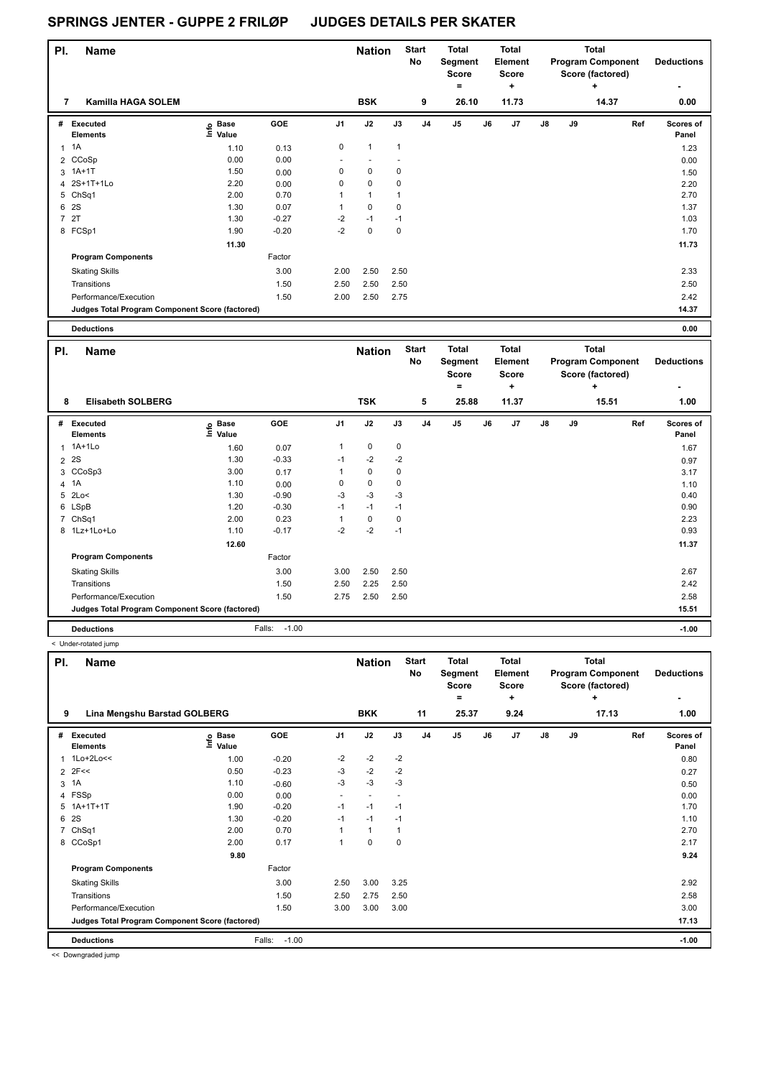| PI.            | <b>Name</b>                                     |                   |         |                          | <b>Nation</b> |              | <b>Start</b><br>No | <b>Total</b><br>Segment<br><b>Score</b> |    | <b>Total</b><br>Element<br>Score |               |    | <b>Total</b><br><b>Program Component</b><br>Score (factored) | <b>Deductions</b>  |
|----------------|-------------------------------------------------|-------------------|---------|--------------------------|---------------|--------------|--------------------|-----------------------------------------|----|----------------------------------|---------------|----|--------------------------------------------------------------|--------------------|
|                |                                                 |                   |         |                          |               |              |                    | $\equiv$                                |    | ÷                                |               |    | ٠                                                            | ۰                  |
| 7              | Kamilla HAGA SOLEM                              |                   |         |                          | <b>BSK</b>    |              | 9                  | 26.10                                   |    | 11.73                            |               |    | 14.37                                                        | 0.00               |
| #              | Executed<br><b>Elements</b>                     | e Base<br>E Value | GOE     | J <sub>1</sub>           | J2            | J3           | J <sub>4</sub>     | J <sub>5</sub>                          | J6 | J7                               | $\mathsf{J}8$ | J9 | Ref                                                          | Scores of<br>Panel |
|                | $1 \t1A$                                        | 1.10              | 0.13    | 0                        | $\mathbf{1}$  | $\mathbf{1}$ |                    |                                         |    |                                  |               |    |                                                              | 1.23               |
|                | 2 CCoSp                                         | 0.00              | 0.00    | $\overline{\phantom{a}}$ |               |              |                    |                                         |    |                                  |               |    |                                                              | 0.00               |
|                | 3 1A+1T                                         | 1.50              | 0.00    | 0                        | $\mathbf 0$   | 0            |                    |                                         |    |                                  |               |    |                                                              | 1.50               |
|                | 4 2S+1T+1Lo                                     | 2.20              | 0.00    | 0                        | $\mathbf 0$   | 0            |                    |                                         |    |                                  |               |    |                                                              | 2.20               |
|                | 5 ChSq1                                         | 2.00              | 0.70    |                          | $\mathbf{1}$  | 1            |                    |                                         |    |                                  |               |    |                                                              | 2.70               |
| 6              | <b>2S</b>                                       | 1.30              | 0.07    |                          | $\mathbf 0$   | 0            |                    |                                         |    |                                  |               |    |                                                              | 1.37               |
| $\overline{7}$ | 2T                                              | 1.30              | $-0.27$ | $-2$                     | $-1$          | $-1$         |                    |                                         |    |                                  |               |    |                                                              | 1.03               |
|                | 8 FCSp1                                         | 1.90              | $-0.20$ | $-2$                     | $\mathbf 0$   | 0            |                    |                                         |    |                                  |               |    |                                                              | 1.70               |
|                |                                                 | 11.30             |         |                          |               |              |                    |                                         |    |                                  |               |    |                                                              | 11.73              |
|                | <b>Program Components</b>                       |                   | Factor  |                          |               |              |                    |                                         |    |                                  |               |    |                                                              |                    |
|                | <b>Skating Skills</b>                           |                   | 3.00    | 2.00                     | 2.50          | 2.50         |                    |                                         |    |                                  |               |    |                                                              | 2.33               |
|                | Transitions                                     |                   | 1.50    | 2.50                     | 2.50          | 2.50         |                    |                                         |    |                                  |               |    |                                                              | 2.50               |
|                | Performance/Execution                           |                   | 1.50    | 2.00                     | 2.50          | 2.75         |                    |                                         |    |                                  |               |    |                                                              | 2.42               |
|                | Judges Total Program Component Score (factored) |                   |         |                          |               |              |                    |                                         |    |                                  |               |    |                                                              | 14.37              |
|                | <b>Deductions</b>                               |                   |         |                          |               |              |                    |                                         |    |                                  |               |    |                                                              | 0.00               |

| Deductions |  |
|------------|--|
|            |  |

| PI. | <b>Name</b>                                     |                              |                   |                | <b>Nation</b> |      | <b>Start</b><br>No | <b>Total</b><br>Segment<br><b>Score</b> |    | Total<br>Element<br><b>Score</b> |            |    | <b>Total</b><br><b>Program Component</b><br>Score (factored) | <b>Deductions</b>      |
|-----|-------------------------------------------------|------------------------------|-------------------|----------------|---------------|------|--------------------|-----------------------------------------|----|----------------------------------|------------|----|--------------------------------------------------------------|------------------------|
| 8   | <b>Elisabeth SOLBERG</b>                        |                              |                   |                | <b>TSK</b>    |      | 5                  | =<br>25.88                              |    | ÷<br>11.37                       |            |    | ÷<br>15.51                                                   | $\blacksquare$<br>1.00 |
|     |                                                 |                              |                   |                |               |      |                    |                                         |    |                                  |            |    |                                                              |                        |
| #   | Executed<br><b>Elements</b>                     | <b>Base</b><br>lnfo<br>Value | GOE               | J <sub>1</sub> | J2            | J3   | J <sub>4</sub>     | J <sub>5</sub>                          | J6 | J7                               | ${\sf J8}$ | J9 | Ref                                                          | Scores of<br>Panel     |
|     | 1 1A+1Lo                                        | 1.60                         | 0.07              | 1              | 0             | 0    |                    |                                         |    |                                  |            |    |                                                              | 1.67                   |
|     | 2 <sup>2S</sup>                                 | 1.30                         | $-0.33$           | $-1$           | $-2$          | $-2$ |                    |                                         |    |                                  |            |    |                                                              | 0.97                   |
|     | 3 CCoSp3                                        | 3.00                         | 0.17              | 1              | 0             | 0    |                    |                                         |    |                                  |            |    |                                                              | 3.17                   |
|     | 4 1A                                            | 1.10                         | 0.00              | 0              | 0             | 0    |                    |                                         |    |                                  |            |    |                                                              | 1.10                   |
|     | 5 2Lo<                                          | 1.30                         | $-0.90$           | $-3$           | $-3$          | $-3$ |                    |                                         |    |                                  |            |    |                                                              | 0.40                   |
|     | 6 LSpB                                          | 1.20                         | $-0.30$           | $-1$           | $-1$          | $-1$ |                    |                                         |    |                                  |            |    |                                                              | 0.90                   |
|     | 7 ChSq1                                         | 2.00                         | 0.23              | 1              | 0             | 0    |                    |                                         |    |                                  |            |    |                                                              | 2.23                   |
|     | 8 1Lz+1Lo+Lo                                    | 1.10                         | $-0.17$           | $-2$           | $-2$          | $-1$ |                    |                                         |    |                                  |            |    |                                                              | 0.93                   |
|     |                                                 | 12.60                        |                   |                |               |      |                    |                                         |    |                                  |            |    |                                                              | 11.37                  |
|     | <b>Program Components</b>                       |                              | Factor            |                |               |      |                    |                                         |    |                                  |            |    |                                                              |                        |
|     | <b>Skating Skills</b>                           |                              | 3.00              | 3.00           | 2.50          | 2.50 |                    |                                         |    |                                  |            |    |                                                              | 2.67                   |
|     | Transitions                                     |                              | 1.50              | 2.50           | 2.25          | 2.50 |                    |                                         |    |                                  |            |    |                                                              | 2.42                   |
|     | Performance/Execution                           |                              | 1.50              | 2.75           | 2.50          | 2.50 |                    |                                         |    |                                  |            |    |                                                              | 2.58                   |
|     | Judges Total Program Component Score (factored) |                              |                   |                |               |      |                    |                                         |    |                                  |            |    |                                                              | 15.51                  |
|     | <b>Deductions</b>                               |                              | $-1.00$<br>Falls: |                |               |      |                    |                                         |    |                                  |            |    |                                                              | $-1.00$                |

< Under-rotated jump

| PI.            | <b>Name</b>                                     |                   |                   |      | <b>Nation</b> |             | <b>Start</b><br>No | <b>Total</b><br>Segment<br><b>Score</b><br>$=$ |    | <b>Total</b><br>Element<br><b>Score</b><br>÷ |    |    | <b>Total</b><br><b>Program Component</b><br>Score (factored)<br>÷ | <b>Deductions</b><br>۰    |
|----------------|-------------------------------------------------|-------------------|-------------------|------|---------------|-------------|--------------------|------------------------------------------------|----|----------------------------------------------|----|----|-------------------------------------------------------------------|---------------------------|
| 9              | Lina Mengshu Barstad GOLBERG                    |                   |                   |      | <b>BKK</b>    |             | 11                 | 25.37                                          |    | 9.24                                         |    |    | 17.13                                                             | 1.00                      |
| #              | <b>Executed</b><br><b>Elements</b>              | e Base<br>⊆ Value | GOE               | J1   | J2            | J3          | J <sub>4</sub>     | J <sub>5</sub>                                 | J6 | J <sub>7</sub>                               | J8 | J9 | Ref                                                               | <b>Scores of</b><br>Panel |
|                | $1Lo+2Lo<<$                                     | 1.00              | $-0.20$           | $-2$ | $-2$          | $-2$        |                    |                                                |    |                                              |    |    |                                                                   | 0.80                      |
|                | $2$ 2F<<                                        | 0.50              | $-0.23$           | $-3$ | $-2$          | $-2$        |                    |                                                |    |                                              |    |    |                                                                   | 0.27                      |
| 3              | 1A                                              | 1.10              | $-0.60$           | $-3$ | $-3$          | $-3$        |                    |                                                |    |                                              |    |    |                                                                   | 0.50                      |
|                | 4 FSSp                                          | 0.00              | 0.00              |      |               |             |                    |                                                |    |                                              |    |    |                                                                   | 0.00                      |
| 5              | $1A+1T+1T$                                      | 1.90              | $-0.20$           | $-1$ | $-1$          | $-1$        |                    |                                                |    |                                              |    |    |                                                                   | 1.70                      |
| 6              | 2S                                              | 1.30              | $-0.20$           | $-1$ | $-1$          | $-1$        |                    |                                                |    |                                              |    |    |                                                                   | 1.10                      |
| $\overline{7}$ | ChSq1                                           | 2.00              | 0.70              |      | 1             | 1           |                    |                                                |    |                                              |    |    |                                                                   | 2.70                      |
| 8              | CCoSp1                                          | 2.00              | 0.17              | 1    | 0             | $\mathbf 0$ |                    |                                                |    |                                              |    |    |                                                                   | 2.17                      |
|                |                                                 | 9.80              |                   |      |               |             |                    |                                                |    |                                              |    |    |                                                                   | 9.24                      |
|                | <b>Program Components</b>                       |                   | Factor            |      |               |             |                    |                                                |    |                                              |    |    |                                                                   |                           |
|                | <b>Skating Skills</b>                           |                   | 3.00              | 2.50 | 3.00          | 3.25        |                    |                                                |    |                                              |    |    |                                                                   | 2.92                      |
|                | Transitions                                     |                   | 1.50              | 2.50 | 2.75          | 2.50        |                    |                                                |    |                                              |    |    |                                                                   | 2.58                      |
|                | Performance/Execution                           |                   | 1.50              | 3.00 | 3.00          | 3.00        |                    |                                                |    |                                              |    |    |                                                                   | 3.00                      |
|                | Judges Total Program Component Score (factored) |                   |                   |      |               |             |                    |                                                |    |                                              |    |    |                                                                   | 17.13                     |
|                | <b>Deductions</b>                               |                   | $-1.00$<br>Falls: |      |               |             |                    |                                                |    |                                              |    |    |                                                                   | $-1.00$                   |

<< Downgraded jump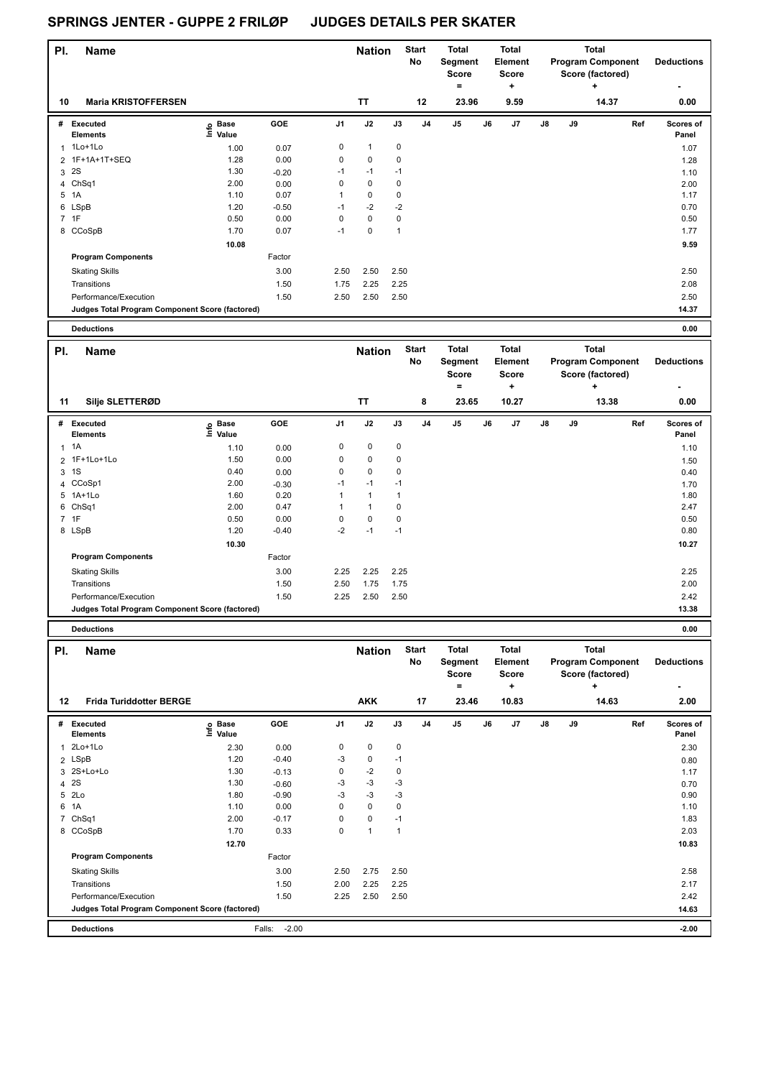| PI. | <b>Name</b>                                     |                            |         |                | <b>Nation</b> |      | <b>Start</b><br>No | <b>Total</b><br>Segment<br><b>Score</b><br>= |    | <b>Total</b><br>Element<br><b>Score</b><br>٠ |    |    | <b>Total</b><br><b>Program Component</b><br>Score (factored)<br>÷ | <b>Deductions</b>         |
|-----|-------------------------------------------------|----------------------------|---------|----------------|---------------|------|--------------------|----------------------------------------------|----|----------------------------------------------|----|----|-------------------------------------------------------------------|---------------------------|
| 10  | <b>Maria KRISTOFFERSEN</b>                      |                            |         |                | <b>TT</b>     |      | 12                 | 23.96                                        |    | 9.59                                         |    |    | 14.37                                                             | 0.00                      |
| #   | Executed<br><b>Elements</b>                     | © Base<br>E Value<br>Value | GOE     | J <sub>1</sub> | J2            | J3   | J <sub>4</sub>     | J <sub>5</sub>                               | J6 | J <sub>7</sub>                               | J8 | J9 | Ref                                                               | <b>Scores of</b><br>Panel |
| 1   | 1Lo+1Lo                                         | 1.00                       | 0.07    | $\pmb{0}$      | $\mathbf{1}$  | 0    |                    |                                              |    |                                              |    |    |                                                                   | 1.07                      |
|     | 2 1F+1A+1T+SEQ                                  | 1.28                       | 0.00    | $\mathbf 0$    | $\mathbf 0$   | 0    |                    |                                              |    |                                              |    |    |                                                                   | 1.28                      |
| 3   | 2S                                              | 1.30                       | $-0.20$ | $-1$           | $-1$          | $-1$ |                    |                                              |    |                                              |    |    |                                                                   | 1.10                      |
| 4   | ChSq1                                           | 2.00                       | 0.00    | 0              | $\mathbf 0$   | 0    |                    |                                              |    |                                              |    |    |                                                                   | 2.00                      |
| 5   | 1A                                              | 1.10                       | 0.07    |                | $\pmb{0}$     | 0    |                    |                                              |    |                                              |    |    |                                                                   | 1.17                      |
|     | 6 LSpB                                          | 1.20                       | $-0.50$ | $-1$           | $-2$          | $-2$ |                    |                                              |    |                                              |    |    |                                                                   | 0.70                      |
|     | 7 1F                                            | 0.50                       | 0.00    | $\mathbf 0$    | $\mathbf 0$   | 0    |                    |                                              |    |                                              |    |    |                                                                   | 0.50                      |
|     | 8 CCoSpB                                        | 1.70                       | 0.07    | $-1$           | 0             | 1    |                    |                                              |    |                                              |    |    |                                                                   | 1.77                      |
|     |                                                 | 10.08                      |         |                |               |      |                    |                                              |    |                                              |    |    |                                                                   | 9.59                      |
|     | <b>Program Components</b>                       |                            | Factor  |                |               |      |                    |                                              |    |                                              |    |    |                                                                   |                           |
|     | <b>Skating Skills</b>                           |                            | 3.00    | 2.50           | 2.50          | 2.50 |                    |                                              |    |                                              |    |    |                                                                   | 2.50                      |
|     | Transitions                                     |                            | 1.50    | 1.75           | 2.25          | 2.25 |                    |                                              |    |                                              |    |    |                                                                   | 2.08                      |
|     | Performance/Execution                           |                            | 1.50    | 2.50           | 2.50          | 2.50 |                    |                                              |    |                                              |    |    |                                                                   | 2.50                      |
|     | Judges Total Program Component Score (factored) |                            |         |                |               |      |                    |                                              |    |                                              |    |    |                                                                   | 14.37                     |
|     | <b>Deductions</b>                               |                            |         |                |               |      |                    |                                              |    |                                              |    |    |                                                                   | 0.00                      |

| PI. | <b>Name</b>                                     |                              |            |                | <b>Nation</b> |      | Start<br>No    | Total<br>Segment<br><b>Score</b><br>= |    | Total<br>Element<br>Score<br>٠ |               |    | <b>Total</b><br><b>Program Component</b><br>Score (factored)<br>٠ | <b>Deductions</b>         |
|-----|-------------------------------------------------|------------------------------|------------|----------------|---------------|------|----------------|---------------------------------------|----|--------------------------------|---------------|----|-------------------------------------------------------------------|---------------------------|
| 11  | Silje SLETTERØD                                 |                              |            |                | <b>TT</b>     |      | 8              | 23.65                                 |    | 10.27                          |               |    | 13.38                                                             | 0.00                      |
| #   | Executed<br><b>Elements</b>                     | <b>Base</b><br>١mfo<br>Value | <b>GOE</b> | J <sub>1</sub> | J2            | J3   | J <sub>4</sub> | J5                                    | J6 | J7                             | $\mathsf{J}8$ | J9 | Ref                                                               | <b>Scores of</b><br>Panel |
|     | $1 \t1A$                                        | 1.10                         | 0.00       | 0              | $\pmb{0}$     | 0    |                |                                       |    |                                |               |    |                                                                   | 1.10                      |
|     | 2 1F+1Lo+1Lo                                    | 1.50                         | 0.00       | 0              | $\pmb{0}$     | 0    |                |                                       |    |                                |               |    |                                                                   | 1.50                      |
|     | 3 1 S                                           | 0.40                         | 0.00       | 0              | $\pmb{0}$     | 0    |                |                                       |    |                                |               |    |                                                                   | 0.40                      |
|     | 4 CCoSp1                                        | 2.00                         | $-0.30$    | $-1$           | $-1$          | $-1$ |                |                                       |    |                                |               |    |                                                                   | 1.70                      |
|     | 5 1A+1Lo                                        | 1.60                         | 0.20       |                | 1             |      |                |                                       |    |                                |               |    |                                                                   | 1.80                      |
|     | 6 ChSq1                                         | 2.00                         | 0.47       |                |               | 0    |                |                                       |    |                                |               |    |                                                                   | 2.47                      |
|     | 7 1F                                            | 0.50                         | 0.00       | 0              | $\mathbf 0$   | 0    |                |                                       |    |                                |               |    |                                                                   | 0.50                      |
|     | 8 LSpB                                          | 1.20                         | $-0.40$    | -2             | $-1$          | $-1$ |                |                                       |    |                                |               |    |                                                                   | 0.80                      |
|     |                                                 | 10.30                        |            |                |               |      |                |                                       |    |                                |               |    |                                                                   | 10.27                     |
|     | <b>Program Components</b>                       |                              | Factor     |                |               |      |                |                                       |    |                                |               |    |                                                                   |                           |
|     | <b>Skating Skills</b>                           |                              | 3.00       | 2.25           | 2.25          | 2.25 |                |                                       |    |                                |               |    |                                                                   | 2.25                      |
|     | Transitions                                     |                              | 1.50       | 2.50           | 1.75          | 1.75 |                |                                       |    |                                |               |    |                                                                   | 2.00                      |
|     | Performance/Execution                           |                              | 1.50       | 2.25           | 2.50          | 2.50 |                |                                       |    |                                |               |    |                                                                   | 2.42                      |
|     | Judges Total Program Component Score (factored) |                              |            |                |               |      |                |                                       |    |                                |               |    |                                                                   | 13.38                     |
|     |                                                 |                              |            |                |               |      |                |                                       |    |                                |               |    |                                                                   |                           |

**Deductions 0.00**

| PI. | <b>Name</b>                                     |                            |                   |                | <b>Nation</b> |      | <b>Start</b><br>No | Total<br>Segment<br><b>Score</b><br>۰ |    | <b>Total</b><br>Element<br><b>Score</b> | <b>Total</b><br><b>Program Component</b><br>Score (factored)<br>٠ |    |       | <b>Deductions</b>         |
|-----|-------------------------------------------------|----------------------------|-------------------|----------------|---------------|------|--------------------|---------------------------------------|----|-----------------------------------------|-------------------------------------------------------------------|----|-------|---------------------------|
| 12  | <b>Frida Turiddotter BERGE</b>                  |                            |                   |                | <b>AKK</b>    |      | 17                 | 23.46                                 |    | ٠<br>10.83                              |                                                                   |    | 14.63 | 2.00                      |
| #   | <b>Executed</b><br><b>Elements</b>              | e Base<br>E Value<br>Value | GOE               | J <sub>1</sub> | J2            | J3   | J <sub>4</sub>     | J5                                    | J6 | J <sub>7</sub>                          | J8                                                                | J9 | Ref   | <b>Scores of</b><br>Panel |
| 1   | $2Lo+1Lo$                                       | 2.30                       | 0.00              | 0              | $\mathbf 0$   | 0    |                    |                                       |    |                                         |                                                                   |    |       | 2.30                      |
|     | 2 LSpB                                          | 1.20                       | $-0.40$           | $-3$           | 0             | $-1$ |                    |                                       |    |                                         |                                                                   |    |       | 0.80                      |
|     | 3 2S+Lo+Lo                                      | 1.30                       | $-0.13$           | 0              | $-2$          | 0    |                    |                                       |    |                                         |                                                                   |    |       | 1.17                      |
|     | 4 2S                                            | 1.30                       | $-0.60$           | $-3$           | $-3$          | $-3$ |                    |                                       |    |                                         |                                                                   |    |       | 0.70                      |
| 5   | 2Lo                                             | 1.80                       | $-0.90$           | $-3$           | $-3$          | $-3$ |                    |                                       |    |                                         |                                                                   |    |       | 0.90                      |
| 6   | 1A                                              | 1.10                       | 0.00              | 0              | $\mathbf 0$   | 0    |                    |                                       |    |                                         |                                                                   |    |       | 1.10                      |
| 7   | ChSq1                                           | 2.00                       | $-0.17$           | 0              | 0             | $-1$ |                    |                                       |    |                                         |                                                                   |    |       | 1.83                      |
|     | 8 CCoSpB                                        | 1.70                       | 0.33              | 0              | $\mathbf{1}$  | 1    |                    |                                       |    |                                         |                                                                   |    |       | 2.03                      |
|     |                                                 | 12.70                      |                   |                |               |      |                    |                                       |    |                                         |                                                                   |    |       | 10.83                     |
|     | <b>Program Components</b>                       |                            | Factor            |                |               |      |                    |                                       |    |                                         |                                                                   |    |       |                           |
|     | <b>Skating Skills</b>                           |                            | 3.00              | 2.50           | 2.75          | 2.50 |                    |                                       |    |                                         |                                                                   |    |       | 2.58                      |
|     | Transitions                                     |                            | 1.50              | 2.00           | 2.25          | 2.25 |                    |                                       |    |                                         |                                                                   |    |       | 2.17                      |
|     | Performance/Execution                           |                            | 1.50              | 2.25           | 2.50          | 2.50 |                    |                                       |    |                                         |                                                                   |    |       | 2.42                      |
|     | Judges Total Program Component Score (factored) |                            |                   |                |               |      |                    |                                       |    |                                         |                                                                   |    |       | 14.63                     |
|     | <b>Deductions</b>                               |                            | $-2.00$<br>Falls: |                |               |      |                    |                                       |    |                                         |                                                                   |    |       | $-2.00$                   |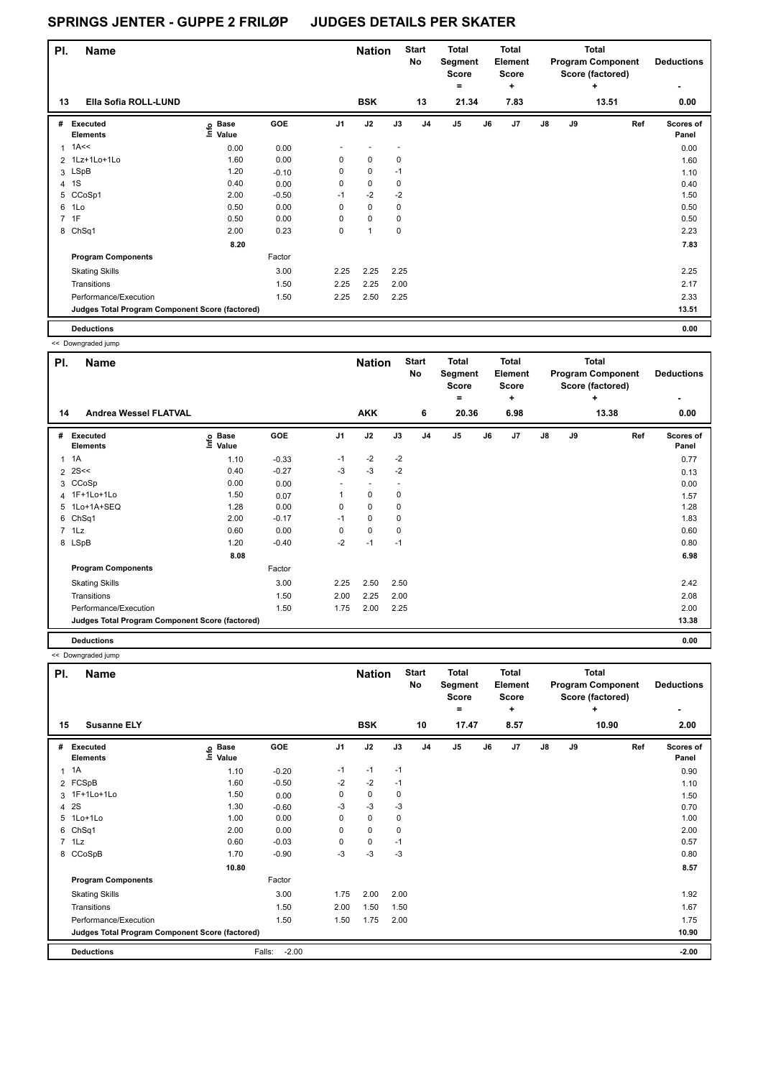| PI. | <b>Name</b>                                     |                            |         |                | <b>Nation</b> |      | <b>Start</b><br>No | Total<br>Segment<br><b>Score</b><br>۰ |    | <b>Total</b><br>Element<br>Score<br>٠ |               |    | <b>Total</b><br><b>Program Component</b><br>Score (factored)<br>$\ddot{}$ | <b>Deductions</b><br>٠ |
|-----|-------------------------------------------------|----------------------------|---------|----------------|---------------|------|--------------------|---------------------------------------|----|---------------------------------------|---------------|----|---------------------------------------------------------------------------|------------------------|
| 13  | Ella Sofia ROLL-LUND                            |                            |         |                | <b>BSK</b>    |      | 13                 | 21.34                                 |    | 7.83                                  |               |    | 13.51                                                                     | 0.00                   |
| #   | Executed<br><b>Elements</b>                     | e Base<br>E Value<br>Value | GOE     | J <sub>1</sub> | J2            | J3   | J <sub>4</sub>     | J <sub>5</sub>                        | J6 | J7                                    | $\mathsf{J}8$ | J9 | Ref                                                                       | Scores of<br>Panel     |
|     | $1$ 1A<<                                        | 0.00                       | 0.00    |                |               |      |                    |                                       |    |                                       |               |    |                                                                           | 0.00                   |
|     | 2 1Lz+1Lo+1Lo                                   | 1.60                       | 0.00    | 0              | $\mathbf 0$   | 0    |                    |                                       |    |                                       |               |    |                                                                           | 1.60                   |
|     | 3 LSpB                                          | 1.20                       | $-0.10$ | 0              | 0             | $-1$ |                    |                                       |    |                                       |               |    |                                                                           | 1.10                   |
| 4   | 1S                                              | 0.40                       | 0.00    | 0              | $\mathbf 0$   | 0    |                    |                                       |    |                                       |               |    |                                                                           | 0.40                   |
|     | 5 CCoSp1                                        | 2.00                       | $-0.50$ | $-1$           | $-2$          | $-2$ |                    |                                       |    |                                       |               |    |                                                                           | 1.50                   |
|     | 6 1Lo                                           | 0.50                       | 0.00    | 0              | $\mathbf 0$   | 0    |                    |                                       |    |                                       |               |    |                                                                           | 0.50                   |
|     | 7 1F                                            | 0.50                       | 0.00    | 0              | $\mathbf 0$   | 0    |                    |                                       |    |                                       |               |    |                                                                           | 0.50                   |
|     | 8 ChSq1                                         | 2.00                       | 0.23    | 0              | 1             | 0    |                    |                                       |    |                                       |               |    |                                                                           | 2.23                   |
|     |                                                 | 8.20                       |         |                |               |      |                    |                                       |    |                                       |               |    |                                                                           | 7.83                   |
|     | <b>Program Components</b>                       |                            | Factor  |                |               |      |                    |                                       |    |                                       |               |    |                                                                           |                        |
|     | <b>Skating Skills</b>                           |                            | 3.00    | 2.25           | 2.25          | 2.25 |                    |                                       |    |                                       |               |    |                                                                           | 2.25                   |
|     | Transitions                                     |                            | 1.50    | 2.25           | 2.25          | 2.00 |                    |                                       |    |                                       |               |    |                                                                           | 2.17                   |
|     | Performance/Execution                           |                            | 1.50    | 2.25           | 2.50          | 2.25 |                    |                                       |    |                                       |               |    |                                                                           | 2.33                   |
|     | Judges Total Program Component Score (factored) |                            |         |                |               |      |                    |                                       |    |                                       |               |    |                                                                           | 13.51                  |
|     | <b>Deductions</b>                               |                            |         |                |               |      |                    |                                       |    |                                       |               |    |                                                                           | 0.00                   |

<< Downgraded jump

| PI. | - - - - - <del>-</del> - - - - - - - - - - - -<br>Name |                   |            |                | <b>Nation</b>            |      | <b>Start</b><br><b>No</b> | <b>Total</b><br>Segment<br><b>Score</b><br>۰ |    | <b>Total</b><br>Element<br><b>Score</b><br>٠ |               |    | <b>Total</b><br><b>Program Component</b><br>Score (factored)<br>÷ | <b>Deductions</b>         |
|-----|--------------------------------------------------------|-------------------|------------|----------------|--------------------------|------|---------------------------|----------------------------------------------|----|----------------------------------------------|---------------|----|-------------------------------------------------------------------|---------------------------|
| 14  | <b>Andrea Wessel FLATVAL</b>                           |                   |            |                | <b>AKK</b>               |      | 6                         | 20.36                                        |    | 6.98                                         |               |    | 13.38                                                             | 0.00                      |
| #   | Executed<br><b>Elements</b>                            | e Base<br>⊆ Value | <b>GOE</b> | J <sub>1</sub> | J2                       | J3   | J <sub>4</sub>            | J5                                           | J6 | J7                                           | $\mathsf{J}8$ | J9 | Ref                                                               | <b>Scores of</b><br>Panel |
| 1   | 1A                                                     | 1.10              | $-0.33$    | $-1$           | $-2$                     | $-2$ |                           |                                              |    |                                              |               |    |                                                                   | 0.77                      |
|     | $2$ 2S <<                                              | 0.40              | $-0.27$    | $-3$           | $-3$                     | $-2$ |                           |                                              |    |                                              |               |    |                                                                   | 0.13                      |
| 3   | CCoSp                                                  | 0.00              | 0.00       | ٠              | $\overline{\phantom{a}}$ |      |                           |                                              |    |                                              |               |    |                                                                   | 0.00                      |
|     | 4 1F+1Lo+1Lo                                           | 1.50              | 0.07       |                | $\mathbf 0$              | 0    |                           |                                              |    |                                              |               |    |                                                                   | 1.57                      |
|     | 5 1Lo+1A+SEQ                                           | 1.28              | 0.00       | 0              | $\pmb{0}$                | 0    |                           |                                              |    |                                              |               |    |                                                                   | 1.28                      |
|     | 6 ChSq1                                                | 2.00              | $-0.17$    | $-1$           | $\mathbf 0$              | 0    |                           |                                              |    |                                              |               |    |                                                                   | 1.83                      |
|     | 7 1Lz                                                  | 0.60              | 0.00       | 0              | $\pmb{0}$                | 0    |                           |                                              |    |                                              |               |    |                                                                   | 0.60                      |
|     | 8 LSpB                                                 | 1.20              | $-0.40$    | $-2$           | $-1$                     | $-1$ |                           |                                              |    |                                              |               |    |                                                                   | 0.80                      |
|     |                                                        | 8.08              |            |                |                          |      |                           |                                              |    |                                              |               |    |                                                                   | 6.98                      |
|     | <b>Program Components</b>                              |                   | Factor     |                |                          |      |                           |                                              |    |                                              |               |    |                                                                   |                           |
|     | <b>Skating Skills</b>                                  |                   | 3.00       | 2.25           | 2.50                     | 2.50 |                           |                                              |    |                                              |               |    |                                                                   | 2.42                      |
|     | Transitions                                            |                   | 1.50       | 2.00           | 2.25                     | 2.00 |                           |                                              |    |                                              |               |    |                                                                   | 2.08                      |
|     | Performance/Execution                                  |                   | 1.50       | 1.75           | 2.00                     | 2.25 |                           |                                              |    |                                              |               |    |                                                                   | 2.00                      |
|     | Judges Total Program Component Score (factored)        |                   |            |                |                          |      |                           |                                              |    |                                              |               |    |                                                                   | 13.38                     |
|     | <b>Deductions</b>                                      |                   |            |                |                          |      |                           |                                              |    |                                              |               |    |                                                                   | 0.00                      |

<< Downgraded jump

| PI.            | Name                                            |                            |                   |      | <b>Nation</b> |             | <b>Start</b><br>No | <b>Total</b><br>Segment<br><b>Score</b><br>۰ |    | <b>Total</b><br>Element<br><b>Score</b><br>÷ |               |    | <b>Total</b><br><b>Program Component</b><br>Score (factored)<br>÷ | <b>Deductions</b><br>٠    |
|----------------|-------------------------------------------------|----------------------------|-------------------|------|---------------|-------------|--------------------|----------------------------------------------|----|----------------------------------------------|---------------|----|-------------------------------------------------------------------|---------------------------|
| 15             | <b>Susanne ELY</b>                              |                            |                   |      | <b>BSK</b>    |             | 10                 | 17.47                                        |    | 8.57                                         |               |    | 10.90                                                             | 2.00                      |
| #              | <b>Executed</b><br><b>Elements</b>              | e Base<br>E Value<br>Value | GOE               | J1   | J2            | J3          | J <sub>4</sub>     | J <sub>5</sub>                               | J6 | J7                                           | $\mathsf{J}8$ | J9 | Ref                                                               | <b>Scores of</b><br>Panel |
| $\mathbf{1}$   | 1A                                              | 1.10                       | $-0.20$           | $-1$ | $-1$          | $-1$        |                    |                                              |    |                                              |               |    |                                                                   | 0.90                      |
|                | 2 FCSpB                                         | 1.60                       | $-0.50$           | $-2$ | $-2$          | $-1$        |                    |                                              |    |                                              |               |    |                                                                   | 1.10                      |
|                | 3 1F+1Lo+1Lo                                    | 1.50                       | 0.00              | 0    | $\mathbf 0$   | 0           |                    |                                              |    |                                              |               |    |                                                                   | 1.50                      |
| $\overline{4}$ | 2S                                              | 1.30                       | $-0.60$           | -3   | $-3$          | -3          |                    |                                              |    |                                              |               |    |                                                                   | 0.70                      |
|                | 5 1Lo+1Lo                                       | 1.00                       | 0.00              | 0    | $\mathbf 0$   | 0           |                    |                                              |    |                                              |               |    |                                                                   | 1.00                      |
| 6              | Ch <sub>Sq1</sub>                               | 2.00                       | 0.00              | 0    | $\mathbf 0$   | $\mathbf 0$ |                    |                                              |    |                                              |               |    |                                                                   | 2.00                      |
|                | $7$ 1 Lz                                        | 0.60                       | $-0.03$           | 0    | $\mathbf 0$   | $-1$        |                    |                                              |    |                                              |               |    |                                                                   | 0.57                      |
|                | 8 CCoSpB                                        | 1.70                       | $-0.90$           | -3   | -3            | $-3$        |                    |                                              |    |                                              |               |    |                                                                   | 0.80                      |
|                |                                                 | 10.80                      |                   |      |               |             |                    |                                              |    |                                              |               |    |                                                                   | 8.57                      |
|                | <b>Program Components</b>                       |                            | Factor            |      |               |             |                    |                                              |    |                                              |               |    |                                                                   |                           |
|                | <b>Skating Skills</b>                           |                            | 3.00              | 1.75 | 2.00          | 2.00        |                    |                                              |    |                                              |               |    |                                                                   | 1.92                      |
|                | Transitions                                     |                            | 1.50              | 2.00 | 1.50          | 1.50        |                    |                                              |    |                                              |               |    |                                                                   | 1.67                      |
|                | Performance/Execution                           |                            | 1.50              | 1.50 | 1.75          | 2.00        |                    |                                              |    |                                              |               |    |                                                                   | 1.75                      |
|                | Judges Total Program Component Score (factored) |                            |                   |      |               |             |                    |                                              |    |                                              |               |    |                                                                   | 10.90                     |
|                | <b>Deductions</b>                               |                            | $-2.00$<br>Falls: |      |               |             |                    |                                              |    |                                              |               |    |                                                                   | $-2.00$                   |